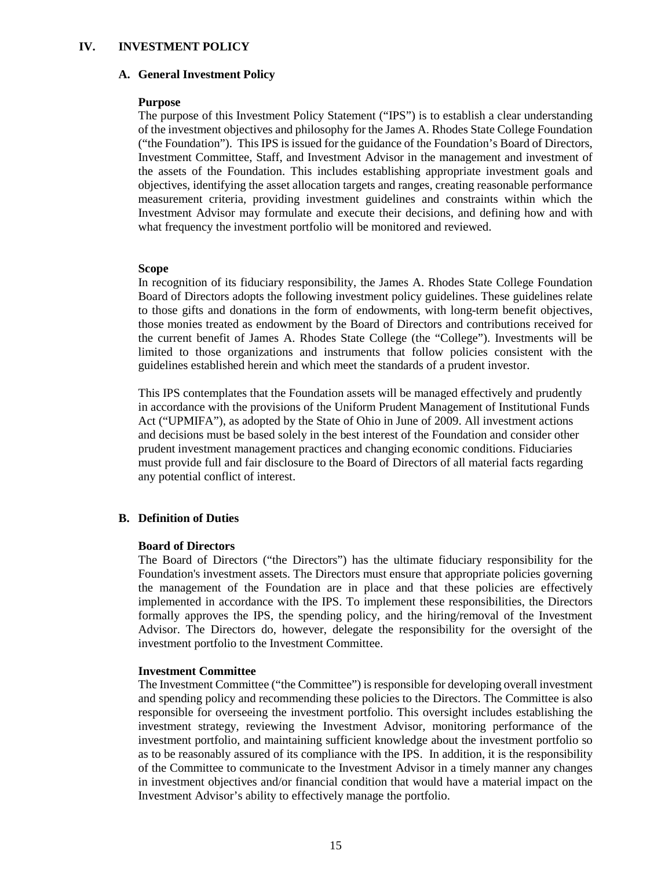### **IV. INVESTMENT POLICY**

#### **A. General Investment Policy**

#### **Purpose**

The purpose of this Investment Policy Statement ("IPS") is to establish a clear understanding of the investment objectives and philosophy for the James A. Rhodes State College Foundation ("the Foundation"). This IPS is issued for the guidance of the Foundation's Board of Directors, Investment Committee, Staff, and Investment Advisor in the management and investment of the assets of the Foundation. This includes establishing appropriate investment goals and objectives, identifying the asset allocation targets and ranges, creating reasonable performance measurement criteria, providing investment guidelines and constraints within which the Investment Advisor may formulate and execute their decisions, and defining how and with what frequency the investment portfolio will be monitored and reviewed.

#### **Scope**

In recognition of its fiduciary responsibility, the James A. Rhodes State College Foundation Board of Directors adopts the following investment policy guidelines. These guidelines relate to those gifts and donations in the form of endowments, with long-term benefit objectives, those monies treated as endowment by the Board of Directors and contributions received for the current benefit of James A. Rhodes State College (the "College"). Investments will be limited to those organizations and instruments that follow policies consistent with the guidelines established herein and which meet the standards of a prudent investor.

This IPS contemplates that the Foundation assets will be managed effectively and prudently in accordance with the provisions of the Uniform Prudent Management of Institutional Funds Act ("UPMIFA"), as adopted by the State of Ohio in June of 2009. All investment actions and decisions must be based solely in the best interest of the Foundation and consider other prudent investment management practices and changing economic conditions. Fiduciaries must provide full and fair disclosure to the Board of Directors of all material facts regarding any potential conflict of interest.

### **B. Definition of Duties**

### **Board of Directors**

The Board of Directors ("the Directors") has the ultimate fiduciary responsibility for the Foundation's investment assets. The Directors must ensure that appropriate policies governing the management of the Foundation are in place and that these policies are effectively implemented in accordance with the IPS. To implement these responsibilities, the Directors formally approves the IPS, the spending policy, and the hiring/removal of the Investment Advisor. The Directors do, however, delegate the responsibility for the oversight of the investment portfolio to the Investment Committee.

### **Investment Committee**

The Investment Committee ("the Committee") is responsible for developing overall investment and spending policy and recommending these policies to the Directors. The Committee is also responsible for overseeing the investment portfolio. This oversight includes establishing the investment strategy, reviewing the Investment Advisor, monitoring performance of the investment portfolio, and maintaining sufficient knowledge about the investment portfolio so as to be reasonably assured of its compliance with the IPS. In addition, it is the responsibility of the Committee to communicate to the Investment Advisor in a timely manner any changes in investment objectives and/or financial condition that would have a material impact on the Investment Advisor's ability to effectively manage the portfolio.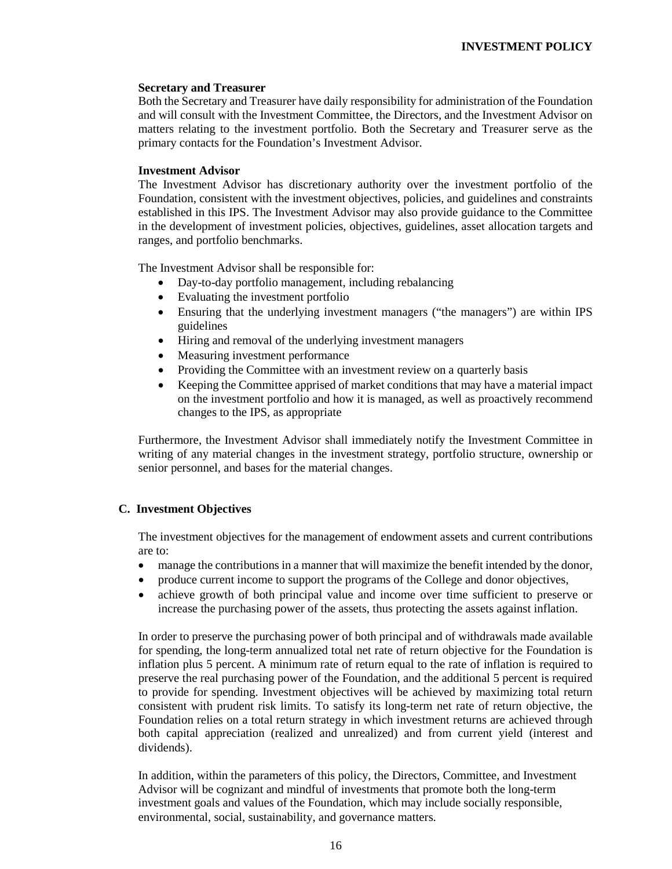### **Secretary and Treasurer**

Both the Secretary and Treasurer have daily responsibility for administration of the Foundation and will consult with the Investment Committee, the Directors, and the Investment Advisor on matters relating to the investment portfolio. Both the Secretary and Treasurer serve as the primary contacts for the Foundation's Investment Advisor.

### **Investment Advisor**

The Investment Advisor has discretionary authority over the investment portfolio of the Foundation, consistent with the investment objectives, policies, and guidelines and constraints established in this IPS. The Investment Advisor may also provide guidance to the Committee in the development of investment policies, objectives, guidelines, asset allocation targets and ranges, and portfolio benchmarks.

The Investment Advisor shall be responsible for:

- Day-to-day portfolio management, including rebalancing
- Evaluating the investment portfolio
- Ensuring that the underlying investment managers ("the managers") are within IPS guidelines
- Hiring and removal of the underlying investment managers
- Measuring investment performance
- Providing the Committee with an investment review on a quarterly basis
- Keeping the Committee apprised of market conditions that may have a material impact on the investment portfolio and how it is managed, as well as proactively recommend changes to the IPS, as appropriate

Furthermore, the Investment Advisor shall immediately notify the Investment Committee in writing of any material changes in the investment strategy, portfolio structure, ownership or senior personnel, and bases for the material changes.

## **C. Investment Objectives**

The investment objectives for the management of endowment assets and current contributions are to:

- manage the contributions in a manner that will maximize the benefit intended by the donor,
- produce current income to support the programs of the College and donor objectives,
- achieve growth of both principal value and income over time sufficient to preserve or increase the purchasing power of the assets, thus protecting the assets against inflation.

In order to preserve the purchasing power of both principal and of withdrawals made available for spending, the long-term annualized total net rate of return objective for the Foundation is inflation plus 5 percent. A minimum rate of return equal to the rate of inflation is required to preserve the real purchasing power of the Foundation, and the additional 5 percent is required to provide for spending. Investment objectives will be achieved by maximizing total return consistent with prudent risk limits. To satisfy its long-term net rate of return objective, the Foundation relies on a total return strategy in which investment returns are achieved through both capital appreciation (realized and unrealized) and from current yield (interest and dividends).

In addition, within the parameters of this policy, the Directors, Committee, and Investment Advisor will be cognizant and mindful of investments that promote both the long-term investment goals and values of the Foundation, which may include socially responsible, environmental, social, sustainability, and governance matters.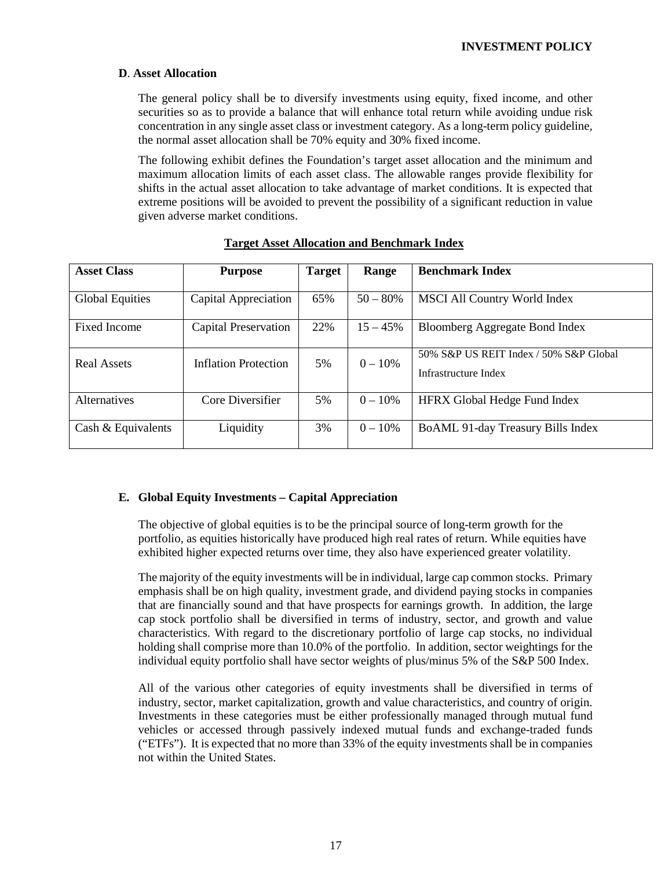## **D**. **Asset Allocation**

The general policy shall be to diversify investments using equity, fixed income, and other securities so as to provide a balance that will enhance total return while avoiding undue risk concentration in any single asset class or investment category. As a long-term policy guideline, the normal asset allocation shall be 70% equity and 30% fixed income.

The following exhibit defines the Foundation's target asset allocation and the minimum and maximum allocation limits of each asset class. The allowable ranges provide flexibility for shifts in the actual asset allocation to take advantage of market conditions. It is expected that extreme positions will be avoided to prevent the possibility of a significant reduction in value given adverse market conditions.

| <b>Asset Class</b>     | <b>Purpose</b>              | <b>Target</b> | Range      | <b>Benchmark Index</b>                                         |
|------------------------|-----------------------------|---------------|------------|----------------------------------------------------------------|
| <b>Global Equities</b> | Capital Appreciation        | 65%           | $50 - 80%$ | <b>MSCI All Country World Index</b>                            |
| Fixed Income           | Capital Preservation        | 22%           | $15 - 45%$ | Bloomberg Aggregate Bond Index                                 |
| Real Assets            | <b>Inflation Protection</b> | 5%            | $0 - 10\%$ | 50% S&P US REIT Index / 50% S&P Global<br>Infrastructure Index |
| <b>Alternatives</b>    | Core Diversifier            | 5%            | $0 - 10\%$ | <b>HFRX Global Hedge Fund Index</b>                            |
| Cash & Equivalents     | Liquidity                   | 3%            | $0 - 10\%$ | BoAML 91-day Treasury Bills Index                              |

 **Target Asset Allocation and Benchmark Index**

## **E. Global Equity Investments – Capital Appreciation**

The objective of global equities is to be the principal source of long-term growth for the portfolio, as equities historically have produced high real rates of return. While equities have exhibited higher expected returns over time, they also have experienced greater volatility.

The majority of the equity investments will be in individual, large cap common stocks. Primary emphasis shall be on high quality, investment grade, and dividend paying stocks in companies that are financially sound and that have prospects for earnings growth. In addition, the large cap stock portfolio shall be diversified in terms of industry, sector, and growth and value characteristics. With regard to the discretionary portfolio of large cap stocks, no individual holding shall comprise more than 10.0% of the portfolio. In addition, sector weightings for the individual equity portfolio shall have sector weights of plus/minus 5% of the S&P 500 Index.

All of the various other categories of equity investments shall be diversified in terms of industry, sector, market capitalization, growth and value characteristics, and country of origin. Investments in these categories must be either professionally managed through mutual fund vehicles or accessed through passively indexed mutual funds and exchange-traded funds ("ETFs"). It is expected that no more than 33% of the equity investments shall be in companies not within the United States.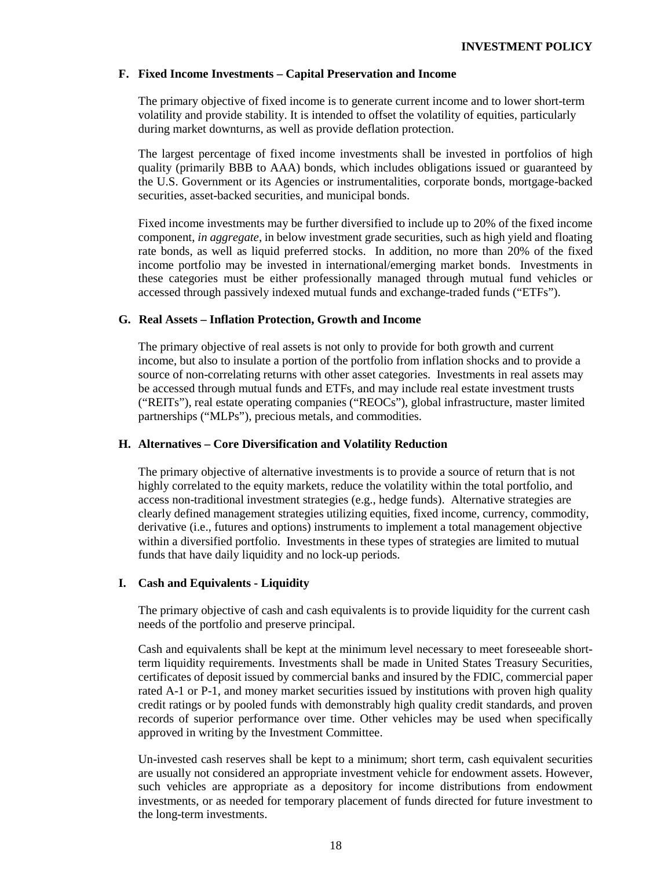## **F. Fixed Income Investments – Capital Preservation and Income**

The primary objective of fixed income is to generate current income and to lower short-term volatility and provide stability. It is intended to offset the volatility of equities, particularly during market downturns, as well as provide deflation protection.

The largest percentage of fixed income investments shall be invested in portfolios of high quality (primarily BBB to AAA) bonds, which includes obligations issued or guaranteed by the U.S. Government or its Agencies or instrumentalities, corporate bonds, mortgage-backed securities, asset-backed securities, and municipal bonds.

Fixed income investments may be further diversified to include up to 20% of the fixed income component, *in aggregate*, in below investment grade securities, such as high yield and floating rate bonds, as well as liquid preferred stocks. In addition, no more than 20% of the fixed income portfolio may be invested in international/emerging market bonds. Investments in these categories must be either professionally managed through mutual fund vehicles or accessed through passively indexed mutual funds and exchange-traded funds ("ETFs").

### **G. Real Assets – Inflation Protection, Growth and Income**

The primary objective of real assets is not only to provide for both growth and current income, but also to insulate a portion of the portfolio from inflation shocks and to provide a source of non-correlating returns with other asset categories. Investments in real assets may be accessed through mutual funds and ETFs, and may include real estate investment trusts ("REITs"), real estate operating companies ("REOCs"), global infrastructure, master limited partnerships ("MLPs"), precious metals, and commodities.

### **H. Alternatives – Core Diversification and Volatility Reduction**

The primary objective of alternative investments is to provide a source of return that is not highly correlated to the equity markets, reduce the volatility within the total portfolio, and access non-traditional investment strategies (e.g., hedge funds). Alternative strategies are clearly defined management strategies utilizing equities, fixed income, currency, commodity, derivative (i.e., futures and options) instruments to implement a total management objective within a diversified portfolio. Investments in these types of strategies are limited to mutual funds that have daily liquidity and no lock-up periods.

### **I. Cash and Equivalents - Liquidity**

The primary objective of cash and cash equivalents is to provide liquidity for the current cash needs of the portfolio and preserve principal.

Cash and equivalents shall be kept at the minimum level necessary to meet foreseeable shortterm liquidity requirements. Investments shall be made in United States Treasury Securities, certificates of deposit issued by commercial banks and insured by the FDIC, commercial paper rated A-1 or P-1, and money market securities issued by institutions with proven high quality credit ratings or by pooled funds with demonstrably high quality credit standards, and proven records of superior performance over time. Other vehicles may be used when specifically approved in writing by the Investment Committee.

Un-invested cash reserves shall be kept to a minimum; short term, cash equivalent securities are usually not considered an appropriate investment vehicle for endowment assets. However, such vehicles are appropriate as a depository for income distributions from endowment investments, or as needed for temporary placement of funds directed for future investment to the long-term investments.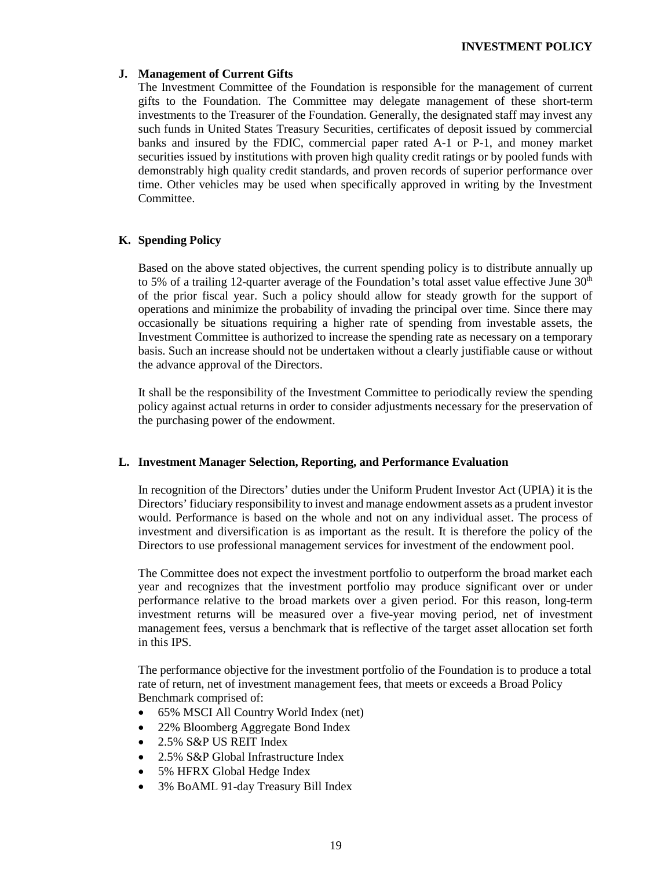## **J. Management of Current Gifts**

The Investment Committee of the Foundation is responsible for the management of current gifts to the Foundation. The Committee may delegate management of these short-term investments to the Treasurer of the Foundation. Generally, the designated staff may invest any such funds in United States Treasury Securities, certificates of deposit issued by commercial banks and insured by the FDIC, commercial paper rated A-1 or P-1, and money market securities issued by institutions with proven high quality credit ratings or by pooled funds with demonstrably high quality credit standards, and proven records of superior performance over time. Other vehicles may be used when specifically approved in writing by the Investment Committee.

# **K. Spending Policy**

Based on the above stated objectives, the current spending policy is to distribute annually up to 5% of a trailing 12-quarter average of the Foundation's total asset value effective June  $30<sup>th</sup>$ of the prior fiscal year. Such a policy should allow for steady growth for the support of operations and minimize the probability of invading the principal over time. Since there may occasionally be situations requiring a higher rate of spending from investable assets, the Investment Committee is authorized to increase the spending rate as necessary on a temporary basis. Such an increase should not be undertaken without a clearly justifiable cause or without the advance approval of the Directors.

It shall be the responsibility of the Investment Committee to periodically review the spending policy against actual returns in order to consider adjustments necessary for the preservation of the purchasing power of the endowment.

## **L. Investment Manager Selection, Reporting, and Performance Evaluation**

In recognition of the Directors' duties under the Uniform Prudent Investor Act (UPIA) it is the Directors' fiduciary responsibility to invest and manage endowment assets as a prudent investor would. Performance is based on the whole and not on any individual asset. The process of investment and diversification is as important as the result. It is therefore the policy of the Directors to use professional management services for investment of the endowment pool.

The Committee does not expect the investment portfolio to outperform the broad market each year and recognizes that the investment portfolio may produce significant over or under performance relative to the broad markets over a given period. For this reason, long-term investment returns will be measured over a five-year moving period, net of investment management fees, versus a benchmark that is reflective of the target asset allocation set forth in this IPS.

The performance objective for the investment portfolio of the Foundation is to produce a total rate of return, net of investment management fees, that meets or exceeds a Broad Policy Benchmark comprised of:

- 65% MSCI All Country World Index (net)
- 22% Bloomberg Aggregate Bond Index
- 2.5% S&P US REIT Index
- 2.5% S&P Global Infrastructure Index
- 5% HFRX Global Hedge Index
- 3% BoAML 91-day Treasury Bill Index